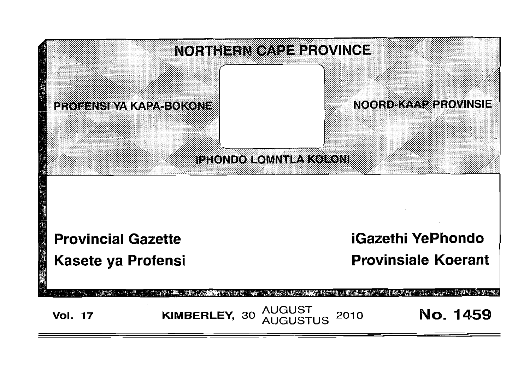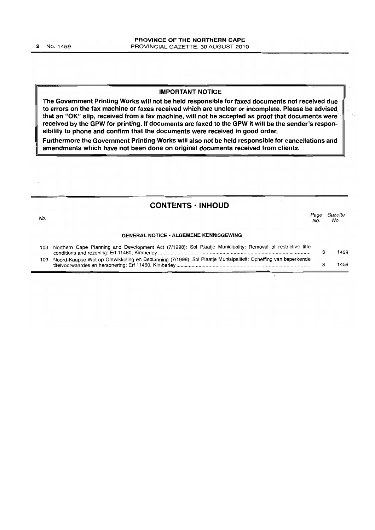#### IMPORTANT NOTICE

The Government Printing Works will not be held responsible for faxed documents not received due to errors on the fax machine or faxes received which are unclear or incomplete. Please be advised that an "OK" slip, received from a fax machine, will not be accepted as proof that documents were received by the GPW for printing. If documents are faxed to the GPW it will be the sender's responsibility to phone and confirm that the documents were received in good order.

Furthermore the Government Printing Works will also not be held responsible for cancellations and amendments which have not been done on original documents received from clients.

## **CONTENTS ·INHOUD**

| No. |                                                                                                                 | Page<br>No. | Gazette<br>No. |
|-----|-----------------------------------------------------------------------------------------------------------------|-------------|----------------|
|     | <b>GENERAL NOTICE • ALGEMENE KENNISGEWING</b>                                                                   |             |                |
|     | 103 Northern Cape Planning and Development Act (7/1998): Sol Plaatje Municipality: Removal of restrictive title |             | 1459           |

| 103 Noord-Kaapse Wet op Ontwikkeling en Beplanning (7/1998): Sol Plaatje Munisipaliteit: Opheffing van beperkende |      |
|-------------------------------------------------------------------------------------------------------------------|------|
| titelvoorwaardes en hersonering: Erf 11460, Kimberley                                                             | 1459 |